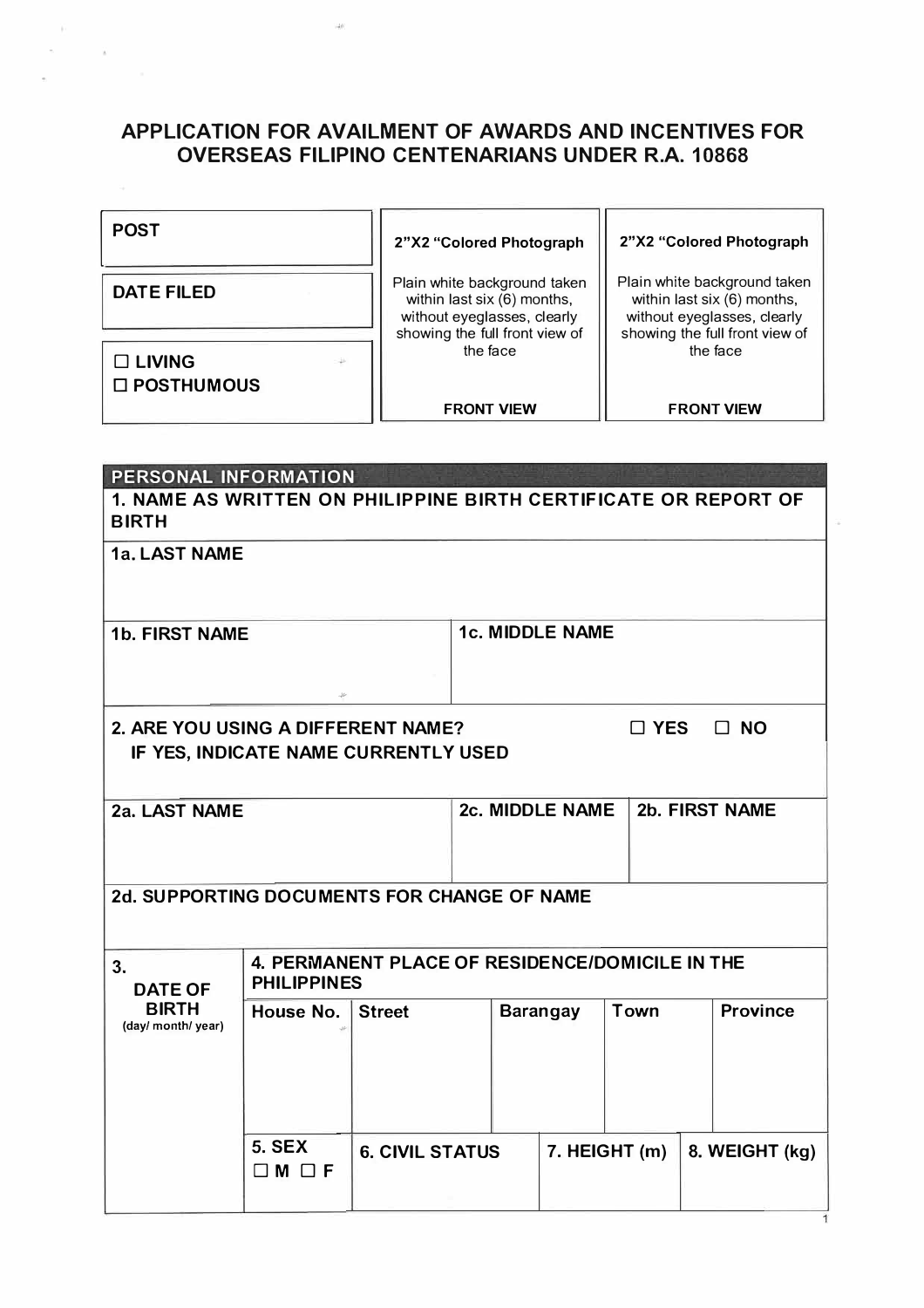## **APPLICATION FOR AVAILMENT OF AWARDS AND INCENTIVES FOR OVERSEAS FILIPINO CENTENARIANS UNDER R.A. 10868**

| <b>POST</b>                           | 2"X2 "Colored Photograph                                                                   | 2"X2 "Colored Photograph                                                                   |
|---------------------------------------|--------------------------------------------------------------------------------------------|--------------------------------------------------------------------------------------------|
| <b>DATE FILED</b>                     | Plain white background taken<br>within last six (6) months,<br>without eyeglasses, clearly | Plain white background taken<br>within last six (6) months,<br>without eyeglasses, clearly |
| $\Box$ LIVING<br>$\square$ POSTHUMOUS | showing the full front view of<br>the face                                                 | showing the full front view of<br>the face                                                 |
|                                       | <b>FRONT VIEW</b>                                                                          | <b>FRONT VIEW</b>                                                                          |

| PERSONAL INFORMATION                                                                                     |                                                                       |                        |  |                 |                       |                 |
|----------------------------------------------------------------------------------------------------------|-----------------------------------------------------------------------|------------------------|--|-----------------|-----------------------|-----------------|
| 1. NAME AS WRITTEN ON PHILIPPINE BIRTH CERTIFICATE OR REPORT OF<br><b>BIRTH</b>                          |                                                                       |                        |  |                 |                       |                 |
| 1a. LAST NAME                                                                                            |                                                                       |                        |  |                 |                       |                 |
| <b>1b. FIRST NAME</b>                                                                                    |                                                                       | 1c. MIDDLE NAME        |  |                 |                       |                 |
| 2. ARE YOU USING A DIFFERENT NAME?<br>$\square$ YES<br>$\Box$ NO<br>IF YES, INDICATE NAME CURRENTLY USED |                                                                       |                        |  |                 |                       |                 |
| 2a. LAST NAME                                                                                            |                                                                       | 2c. MIDDLE NAME        |  |                 | <b>2b. FIRST NAME</b> |                 |
| 2d. SUPPORTING DOCUMENTS FOR CHANGE OF NAME                                                              |                                                                       |                        |  |                 |                       |                 |
| 3.<br><b>DATE OF</b>                                                                                     | 4. PERMANENT PLACE OF RESIDENCE/DOMICILE IN THE<br><b>PHILIPPINES</b> |                        |  |                 |                       |                 |
| <b>BIRTH</b><br>(day/ month/ year)                                                                       | House No.                                                             | <b>Street</b>          |  | <b>Barangay</b> | Town                  | <b>Province</b> |
|                                                                                                          | <b>5. SEX</b><br>$\Box$ M $\Box$ F                                    | <b>6. CIVIL STATUS</b> |  |                 | $7.$ HEIGHT $(m)$     | 8. WEIGHT (kg)  |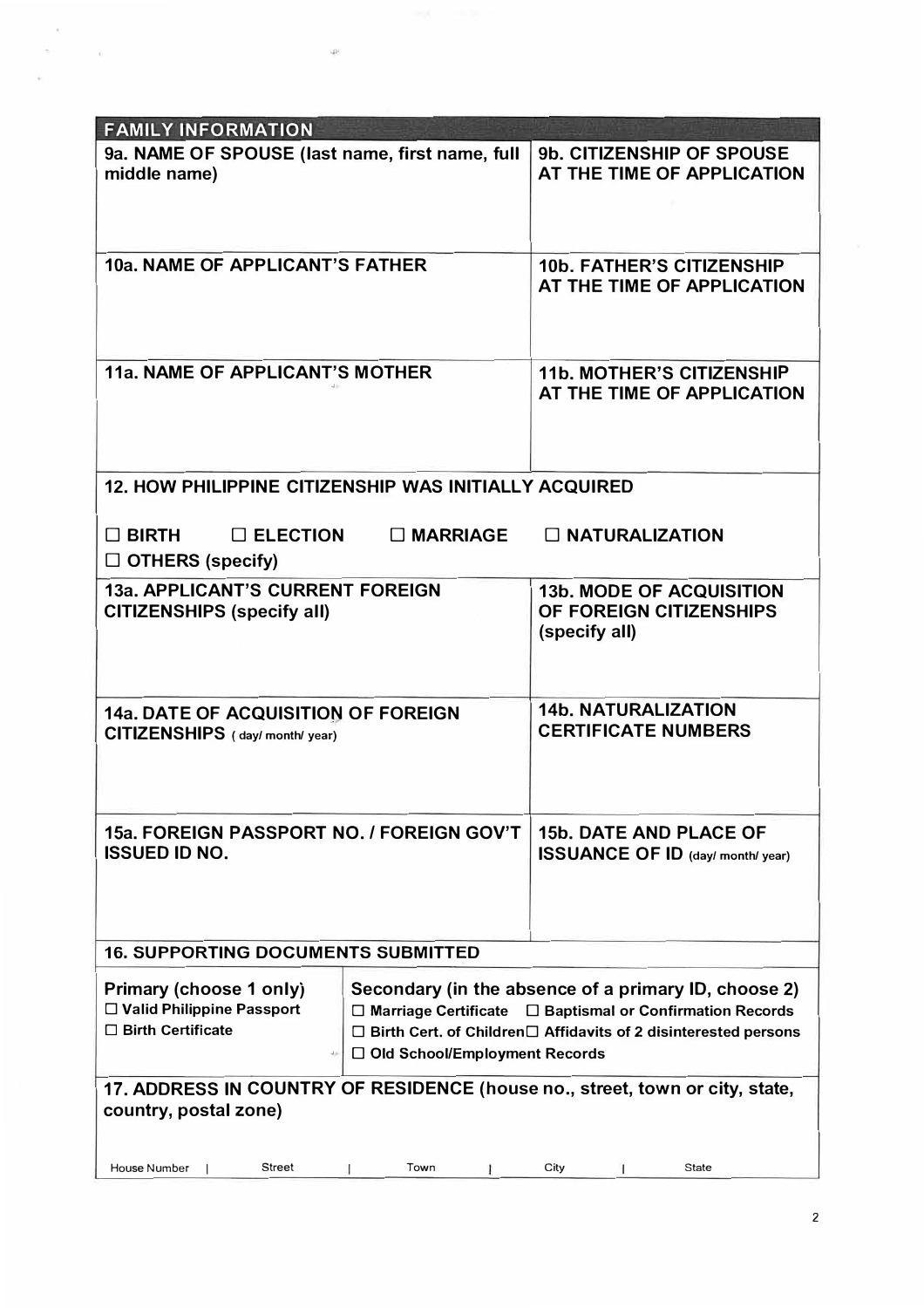| <b>FAMILY INFORMATION</b>                                                                             |                                                                                                                                                                                                                                                |                       |  |  |
|-------------------------------------------------------------------------------------------------------|------------------------------------------------------------------------------------------------------------------------------------------------------------------------------------------------------------------------------------------------|-----------------------|--|--|
| 9a. NAME OF SPOUSE (last name, first name, full<br>middle name)                                       | 9b. CITIZENSHIP OF SPOUSE<br>AT THE TIME OF APPLICATION                                                                                                                                                                                        |                       |  |  |
| <b>10a. NAME OF APPLICANT'S FATHER</b>                                                                | <b>10b. FATHER'S CITIZENSHIP</b><br>AT THE TIME OF APPLICATION                                                                                                                                                                                 |                       |  |  |
| 11a. NAME OF APPLICANT'S MOTHER                                                                       | <b>11b. MOTHER'S CITIZENSHIP</b><br>AT THE TIME OF APPLICATION                                                                                                                                                                                 |                       |  |  |
| 12. HOW PHILIPPINE CITIZENSHIP WAS INITIALLY ACQUIRED                                                 |                                                                                                                                                                                                                                                |                       |  |  |
| $\Box$ BIRTH<br>$\Box$ ELECTION<br>$\Box$ OTHERS (specify)                                            | $\square$ MARRIAGE                                                                                                                                                                                                                             | $\Box$ NATURALIZATION |  |  |
| 13a. APPLICANT'S CURRENT FOREIGN<br><b>CITIZENSHIPS (specify all)</b>                                 | <b>13b. MODE OF ACQUISITION</b><br>OF FOREIGN CITIZENSHIPS<br>(specify all)                                                                                                                                                                    |                       |  |  |
| <b>14a. DATE OF ACQUISITION OF FOREIGN</b><br>CITIZENSHIPS (day/month/year)                           | <b>14b. NATURALIZATION</b><br><b>CERTIFICATE NUMBERS</b>                                                                                                                                                                                       |                       |  |  |
| 15a. FOREIGN PASSPORT NO. / FOREIGN GOV'T<br><b>ISSUED ID NO.</b>                                     | <b>15b. DATE AND PLACE OF</b><br><b>ISSUANCE OF ID (day/ month/ year)</b>                                                                                                                                                                      |                       |  |  |
| <b>16. SUPPORTING DOCUMENTS SUBMITTED</b>                                                             |                                                                                                                                                                                                                                                |                       |  |  |
| Primary (choose 1 only)<br>□ Valid Philippine Passport<br>□ Birth Certificate<br>-36                  | Secondary (in the absence of a primary ID, choose 2)<br>$\Box$ Marriage Certificate $\Box$ Baptismal or Confirmation Records<br>$\Box$ Birth Cert. of Children $\Box$ Affidavits of 2 disinterested persons<br>□ Old School/Employment Records |                       |  |  |
| 17. ADDRESS IN COUNTRY OF RESIDENCE (house no., street, town or city, state,<br>country, postal zone) |                                                                                                                                                                                                                                                |                       |  |  |
| <b>Street</b><br>House Number                                                                         | Town                                                                                                                                                                                                                                           | City<br><b>State</b>  |  |  |

 $\chi$